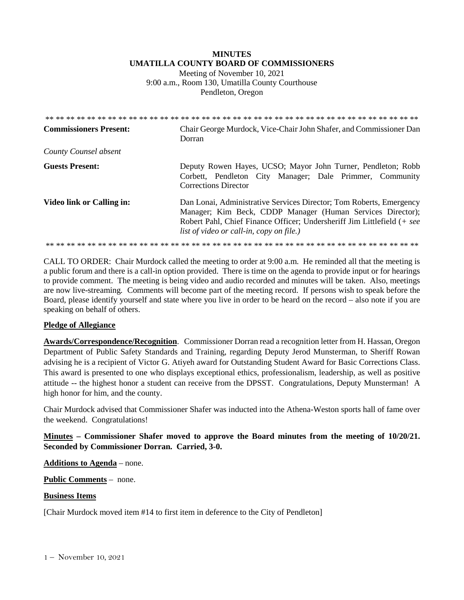# **MINUTES UMATILLA COUNTY BOARD OF COMMISSIONERS**

Meeting of November 10, 2021 9:00 a.m., Room 130, Umatilla County Courthouse Pendleton, Oregon

| <b>Commissioners Present:</b>    | Chair George Murdock, Vice-Chair John Shafer, and Commissioner Dan<br>Dorran                                                                                                                                                                                    |
|----------------------------------|-----------------------------------------------------------------------------------------------------------------------------------------------------------------------------------------------------------------------------------------------------------------|
| County Counsel absent            |                                                                                                                                                                                                                                                                 |
| <b>Guests Present:</b>           | Deputy Rowen Hayes, UCSO; Mayor John Turner, Pendleton; Robb<br>Corbett, Pendleton City Manager; Dale Primmer, Community<br><b>Corrections Director</b>                                                                                                         |
| <b>Video link or Calling in:</b> | Dan Lonai, Administrative Services Director; Tom Roberts, Emergency<br>Manager; Kim Beck, CDDP Manager (Human Services Director);<br>Robert Pahl, Chief Finance Officer; Undersheriff Jim Littlefield (+ see<br><i>list of video or call-in, copy on file.)</i> |
|                                  |                                                                                                                                                                                                                                                                 |

CALL TO ORDER: Chair Murdock called the meeting to order at 9:00 a.m. He reminded all that the meeting is a public forum and there is a call-in option provided. There is time on the agenda to provide input or for hearings to provide comment. The meeting is being video and audio recorded and minutes will be taken. Also, meetings are now live-streaming*.* Comments will become part of the meeting record. If persons wish to speak before the Board, please identify yourself and state where you live in order to be heard on the record – also note if you are speaking on behalf of others.

## **Pledge of Allegiance**

**Awards/Correspondence/Recognition**. Commissioner Dorran read a recognition letter from H. Hassan, Oregon Department of Public Safety Standards and Training, regarding Deputy Jerod Munsterman, to Sheriff Rowan advising he is a recipient of Victor G. Atiyeh award for Outstanding Student Award for Basic Corrections Class. This award is presented to one who displays exceptional ethics, professionalism, leadership, as well as positive attitude -- the highest honor a student can receive from the DPSST. Congratulations, Deputy Munsterman! A high honor for him, and the county.

Chair Murdock advised that Commissioner Shafer was inducted into the Athena-Weston sports hall of fame over the weekend. Congratulations!

**Minutes – Commissioner Shafer moved to approve the Board minutes from the meeting of 10/20/21. Seconded by Commissioner Dorran. Carried, 3-0.** 

**Additions to Agenda** – none.

**Public Comments** – none.

#### **Business Items**

[Chair Murdock moved item #14 to first item in deference to the City of Pendleton]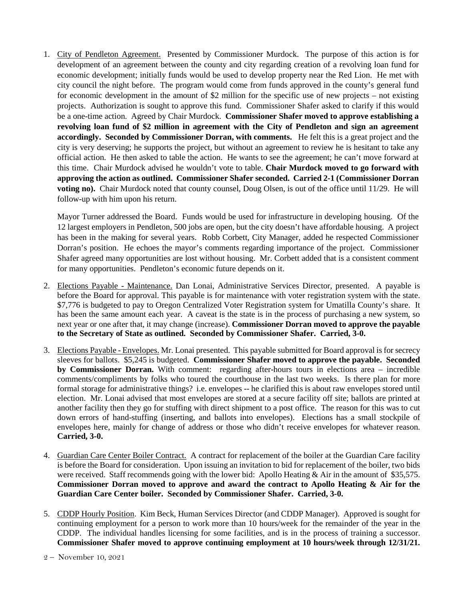1. City of Pendleton Agreement. Presented by Commissioner Murdock. The purpose of this action is for development of an agreement between the county and city regarding creation of a revolving loan fund for economic development; initially funds would be used to develop property near the Red Lion. He met with city council the night before. The program would come from funds approved in the county's general fund for economic development in the amount of \$2 million for the specific use of new projects – not existing projects. Authorization is sought to approve this fund. Commissioner Shafer asked to clarify if this would be a one-time action. Agreed by Chair Murdock. **Commissioner Shafer moved to approve establishing a revolving loan fund of \$2 million in agreement with the City of Pendleton and sign an agreement accordingly. Seconded by Commissioner Dorran, with comments.** He felt this is a great project and the city is very deserving; he supports the project, but without an agreement to review he is hesitant to take any official action. He then asked to table the action. He wants to see the agreement; he can't move forward at this time. Chair Murdock advised he wouldn't vote to table. **Chair Murdock moved to go forward with approving the action as outlined. Commissioner Shafer seconded. Carried 2-1 (Commissioner Dorran voting no).** Chair Murdock noted that county counsel, Doug Olsen, is out of the office until 11/29. He will follow-up with him upon his return.

Mayor Turner addressed the Board. Funds would be used for infrastructure in developing housing. Of the 12 largest employers in Pendleton, 500 jobs are open, but the city doesn't have affordable housing. A project has been in the making for several years. Robb Corbett, City Manager, added he respected Commissioner Dorran's position. He echoes the mayor's comments regarding importance of the project. Commissioner Shafer agreed many opportunities are lost without housing. Mr. Corbett added that is a consistent comment for many opportunities. Pendleton's economic future depends on it.

- 2. Elections Payable Maintenance. Dan Lonai, Administrative Services Director, presented. A payable is before the Board for approval. This payable is for maintenance with voter registration system with the state. \$7,776 is budgeted to pay to Oregon Centralized Voter Registration system for Umatilla County's share. It has been the same amount each year. A caveat is the state is in the process of purchasing a new system, so next year or one after that, it may change (increase). **Commissioner Dorran moved to approve the payable to the Secretary of State as outlined. Seconded by Commissioner Shafer. Carried, 3-0.**
- 3. Elections Payable Envelopes. Mr. Lonai presented. This payable submitted for Board approval is for secrecy sleeves for ballots. \$5,245 is budgeted. **Commissioner Shafer moved to approve the payable. Seconded by Commissioner Dorran.** With comment: regarding after-hours tours in elections area – incredible comments/compliments by folks who toured the courthouse in the last two weeks. Is there plan for more formal storage for administrative things? i.e. envelopes -- he clarified this is about raw envelopes stored until election. Mr. Lonai advised that most envelopes are stored at a secure facility off site; ballots are printed at another facility then they go for stuffing with direct shipment to a post office. The reason for this was to cut down errors of hand-stuffing (inserting, and ballots into envelopes). Elections has a small stockpile of envelopes here, mainly for change of address or those who didn't receive envelopes for whatever reason. **Carried, 3-0.**
- 4. Guardian Care Center Boiler Contract. A contract for replacement of the boiler at the Guardian Care facility is before the Board for consideration. Upon issuing an invitation to bid for replacement of the boiler, two bids were received. Staff recommends going with the lower bid: Apollo Heating & Air in the amount of \$35,575. **Commissioner Dorran moved to approve and award the contract to Apollo Heating & Air for the Guardian Care Center boiler. Seconded by Commissioner Shafer. Carried, 3-0.**
- 5. CDDP Hourly Position. Kim Beck, Human Services Director (and CDDP Manager). Approved is sought for continuing employment for a person to work more than 10 hours/week for the remainder of the year in the CDDP. The individual handles licensing for some facilities, and is in the process of training a successor. **Commissioner Shafer moved to approve continuing employment at 10 hours/week through 12/31/21.**

<sup>2 –</sup> November 10, 2021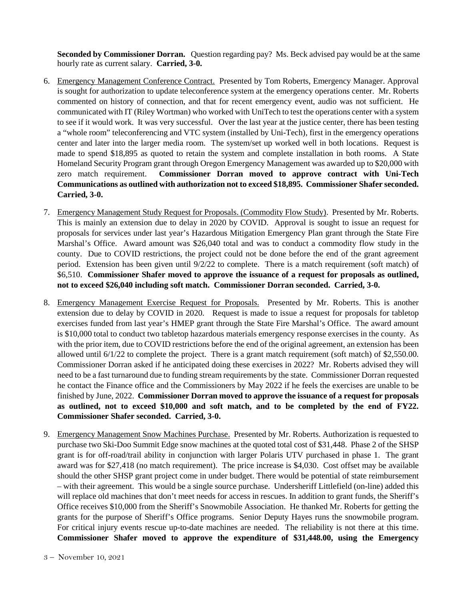**Seconded by Commissioner Dorran.** Question regarding pay? Ms. Beck advised pay would be at the same hourly rate as current salary. **Carried, 3-0.**

- 6. Emergency Management Conference Contract. Presented by Tom Roberts, Emergency Manager. Approval is sought for authorization to update teleconference system at the emergency operations center. Mr. Roberts commented on history of connection, and that for recent emergency event, audio was not sufficient. He communicated with IT (Riley Wortman) who worked with UniTech to test the operations center with a system to see if it would work. It was very successful. Over the last year at the justice center, there has been testing a "whole room" teleconferencing and VTC system (installed by Uni-Tech), first in the emergency operations center and later into the larger media room. The system/set up worked well in both locations. Request is made to spend \$18,895 as quoted to retain the system and complete installation in both rooms. A State Homeland Security Program grant through Oregon Emergency Management was awarded up to \$20,000 with zero match requirement. **Commissioner Dorran moved to approve contract with Uni-Tech Communications as outlined with authorization not to exceed \$18,895. Commissioner Shafer seconded. Carried, 3-0.**
- 7. Emergency Management Study Request for Proposals. (Commodity Flow Study). Presented by Mr. Roberts. This is mainly an extension due to delay in 2020 by COVID. Approval is sought to issue an request for proposals for services under last year's Hazardous Mitigation Emergency Plan grant through the State Fire Marshal's Office. Award amount was \$26,040 total and was to conduct a commodity flow study in the county. Due to COVID restrictions, the project could not be done before the end of the grant agreement period. Extension has been given until 9/2/22 to complete. There is a match requirement (soft match) of \$6,510. **Commissioner Shafer moved to approve the issuance of a request for proposals as outlined, not to exceed \$26,040 including soft match. Commissioner Dorran seconded. Carried, 3-0.**
- 8. Emergency Management Exercise Request for Proposals. Presented by Mr. Roberts. This is another extension due to delay by COVID in 2020. Request is made to issue a request for proposals for tabletop exercises funded from last year's HMEP grant through the State Fire Marshal's Office. The award amount is \$10,000 total to conduct two tabletop hazardous materials emergency response exercises in the county. As with the prior item, due to COVID restrictions before the end of the original agreement, an extension has been allowed until 6/1/22 to complete the project. There is a grant match requirement (soft match) of \$2,550.00. Commissioner Dorran asked if he anticipated doing these exercises in 2022? Mr. Roberts advised they will need to be a fast turnaround due to funding stream requirements by the state. Commissioner Dorran requested he contact the Finance office and the Commissioners by May 2022 if he feels the exercises are unable to be finished by June, 2022. **Commissioner Dorran moved to approve the issuance of a request for proposals as outlined, not to exceed \$10,000 and soft match, and to be completed by the end of FY22. Commissioner Shafer seconded. Carried, 3-0.**
- 9. Emergency Management Snow Machines Purchase. Presented by Mr. Roberts. Authorization is requested to purchase two Ski-Doo Summit Edge snow machines at the quoted total cost of \$31,448. Phase 2 of the SHSP grant is for off-road/trail ability in conjunction with larger Polaris UTV purchased in phase 1. The grant award was for \$27,418 (no match requirement). The price increase is \$4,030. Cost offset may be available should the other SHSP grant project come in under budget. There would be potential of state reimbursement – with their agreement. This would be a single source purchase. Undersheriff Littlefield (on-line) added this will replace old machines that don't meet needs for access in rescues. In addition to grant funds, the Sheriff's Office receives \$10,000 from the Sheriff's Snowmobile Association. He thanked Mr. Roberts for getting the grants for the purpose of Sheriff's Office programs. Senior Deputy Hayes runs the snowmobile program. For critical injury events rescue up-to-date machines are needed. The reliability is not there at this time. **Commissioner Shafer moved to approve the expenditure of \$31,448.00, using the Emergency**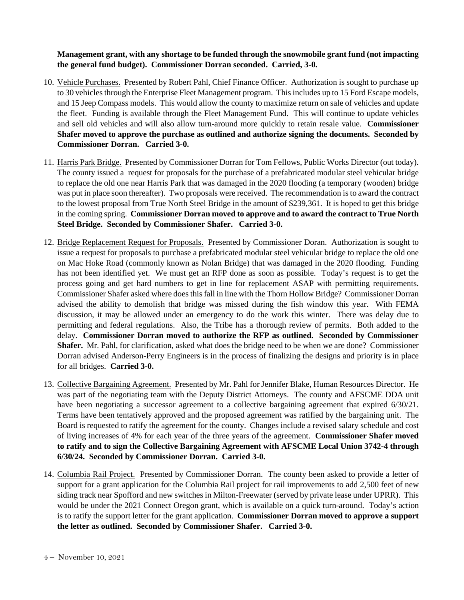**Management grant, with any shortage to be funded through the snowmobile grant fund (not impacting the general fund budget). Commissioner Dorran seconded. Carried, 3-0.**

- 10. Vehicle Purchases. Presented by Robert Pahl, Chief Finance Officer. Authorization is sought to purchase up to 30 vehicles through the Enterprise Fleet Management program. This includes up to 15 Ford Escape models, and 15 Jeep Compass models. This would allow the county to maximize return on sale of vehicles and update the fleet. Funding is available through the Fleet Management Fund. This will continue to update vehicles and sell old vehicles and will also allow turn-around more quickly to retain resale value. **Commissioner Shafer moved to approve the purchase as outlined and authorize signing the documents. Seconded by Commissioner Dorran. Carried 3-0.**
- 11. Harris Park Bridge. Presented by Commissioner Dorran for Tom Fellows, Public Works Director (out today). The county issued a request for proposals for the purchase of a prefabricated modular steel vehicular bridge to replace the old one near Harris Park that was damaged in the 2020 flooding (a temporary (wooden) bridge was put in place soon thereafter). Two proposals were received. The recommendation is to award the contract to the lowest proposal from True North Steel Bridge in the amount of \$239,361. It is hoped to get this bridge in the coming spring. **Commissioner Dorran moved to approve and to award the contract to True North Steel Bridge. Seconded by Commissioner Shafer. Carried 3-0.**
- 12. Bridge Replacement Request for Proposals. Presented by Commissioner Doran. Authorization is sought to issue a request for proposals to purchase a prefabricated modular steel vehicular bridge to replace the old one on Mac Hoke Road (commonly known as Nolan Bridge) that was damaged in the 2020 flooding. Funding has not been identified yet. We must get an RFP done as soon as possible. Today's request is to get the process going and get hard numbers to get in line for replacement ASAP with permitting requirements. Commissioner Shafer asked where does this fall in line with the Thorn Hollow Bridge? Commissioner Dorran advised the ability to demolish that bridge was missed during the fish window this year. With FEMA discussion, it may be allowed under an emergency to do the work this winter. There was delay due to permitting and federal regulations. Also, the Tribe has a thorough review of permits. Both added to the delay. **Commissioner Dorran moved to authorize the RFP as outlined. Seconded by Commissioner Shafer.** Mr. Pahl, for clarification, asked what does the bridge need to be when we are done? Commissioner Dorran advised Anderson-Perry Engineers is in the process of finalizing the designs and priority is in place for all bridges. **Carried 3-0.**
- 13. Collective Bargaining Agreement. Presented by Mr. Pahl for Jennifer Blake, Human Resources Director. He was part of the negotiating team with the Deputy District Attorneys. The county and AFSCME DDA unit have been negotiating a successor agreement to a collective bargaining agreement that expired 6/30/21. Terms have been tentatively approved and the proposed agreement was ratified by the bargaining unit. The Board is requested to ratify the agreement for the county. Changes include a revised salary schedule and cost of living increases of 4% for each year of the three years of the agreement. **Commissioner Shafer moved to ratify and to sign the Collective Bargaining Agreement with AFSCME Local Union 3742-4 through 6/30/24. Seconded by Commissioner Dorran. Carried 3-0.**
- 14. Columbia Rail Project. Presented by Commissioner Dorran. The county been asked to provide a letter of support for a grant application for the Columbia Rail project for rail improvements to add 2,500 feet of new siding track near Spofford and new switches in Milton-Freewater (served by private lease under UPRR). This would be under the 2021 Connect Oregon grant, which is available on a quick turn-around. Today's action is to ratify the support letter for the grant application. **Commissioner Dorran moved to approve a support the letter as outlined. Seconded by Commissioner Shafer. Carried 3-0.**